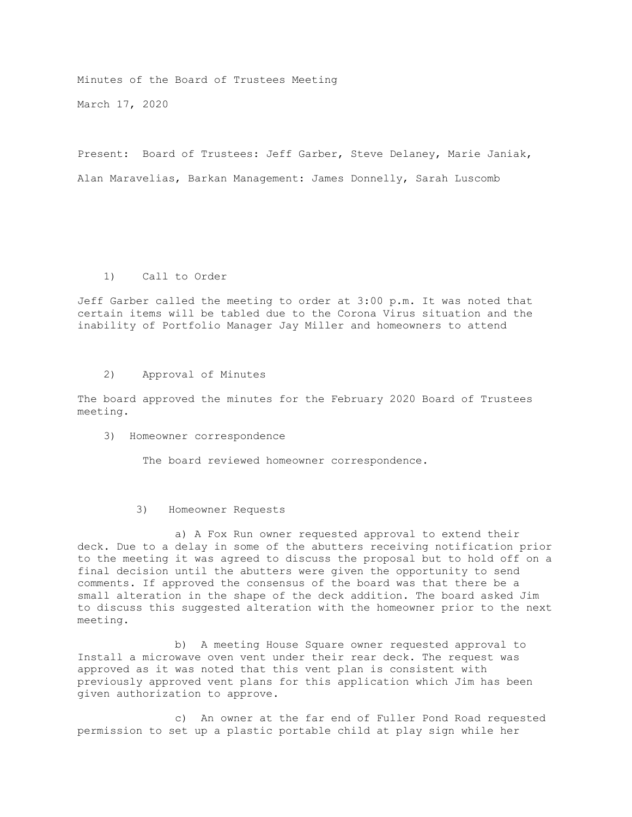Minutes of the Board of Trustees Meeting March 17, 2020

Present: Board of Trustees: Jeff Garber, Steve Delaney, Marie Janiak, Alan Maravelias, Barkan Management: James Donnelly, Sarah Luscomb

## 1) Call to Order

Jeff Garber called the meeting to order at 3:00 p.m. It was noted that certain items will be tabled due to the Corona Virus situation and the inability of Portfolio Manager Jay Miller and homeowners to attend

2) Approval of Minutes

The board approved the minutes for the February 2020 Board of Trustees meeting.

3) Homeowner correspondence

The board reviewed homeowner correspondence.

3) Homeowner Requests

 a) A Fox Run owner requested approval to extend their deck. Due to a delay in some of the abutters receiving notification prior to the meeting it was agreed to discuss the proposal but to hold off on a final decision until the abutters were given the opportunity to send comments. If approved the consensus of the board was that there be a small alteration in the shape of the deck addition. The board asked Jim to discuss this suggested alteration with the homeowner prior to the next meeting.

 b) A meeting House Square owner requested approval to Install a microwave oven vent under their rear deck. The request was approved as it was noted that this vent plan is consistent with previously approved vent plans for this application which Jim has been given authorization to approve.

 c) An owner at the far end of Fuller Pond Road requested permission to set up a plastic portable child at play sign while her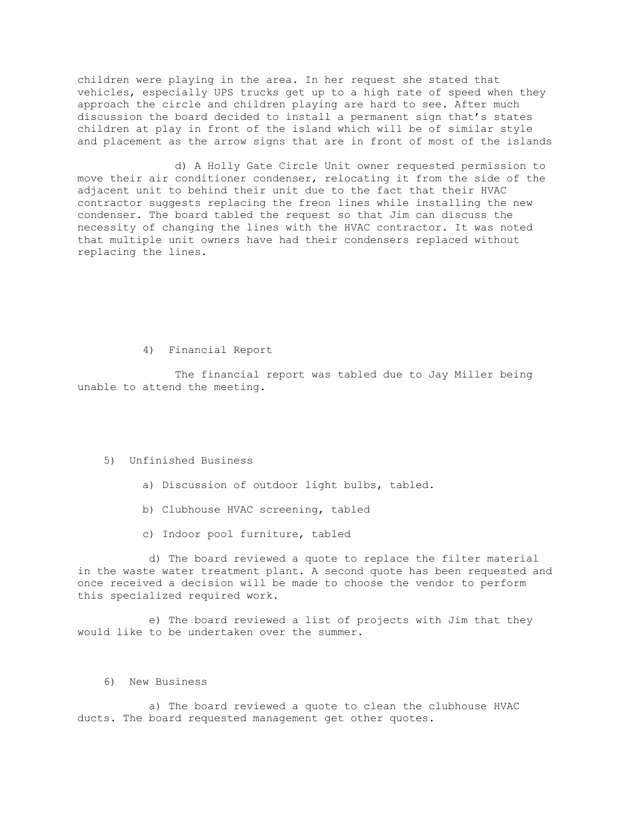children were playing in the area. In her request she stated that vehicles, especially UPS trucks get up to a high rate of speed when they approach the circle and children playing are hard to see. After much discussion the board decided to install a permanent sign that's states children at play in front of the island which will be of similar style and placement as the arrow signs that are in front of most of the islands

 d) A Holly Gate Circle Unit owner requested permission to move their air conditioner condenser, relocating it from the side of the adjacent unit to behind their unit due to the fact that their HVAC contractor suggests replacing the freon lines while installing the new condenser. The board tabled the request so that Jim can discuss the necessity of changing the lines with the HVAC contractor. It was noted that multiple unit owners have had their condensers replaced without replacing the lines.

4) Financial Report

 The financial report was tabled due to Jay Miller being unable to attend the meeting.

## 5) Unfinished Business

- a) Discussion of outdoor light bulbs, tabled.
- b) Clubhouse HVAC screening, tabled
- c) Indoor pool furniture, tabled

 d) The board reviewed a quote to replace the filter material in the waste water treatment plant. A second quote has been requested and once received a decision will be made to choose the vendor to perform this specialized required work.

 e) The board reviewed a list of projects with Jim that they would like to be undertaken over the summer.

## 6) New Business

 a) The board reviewed a quote to clean the clubhouse HVAC ducts. The board requested management get other quotes.